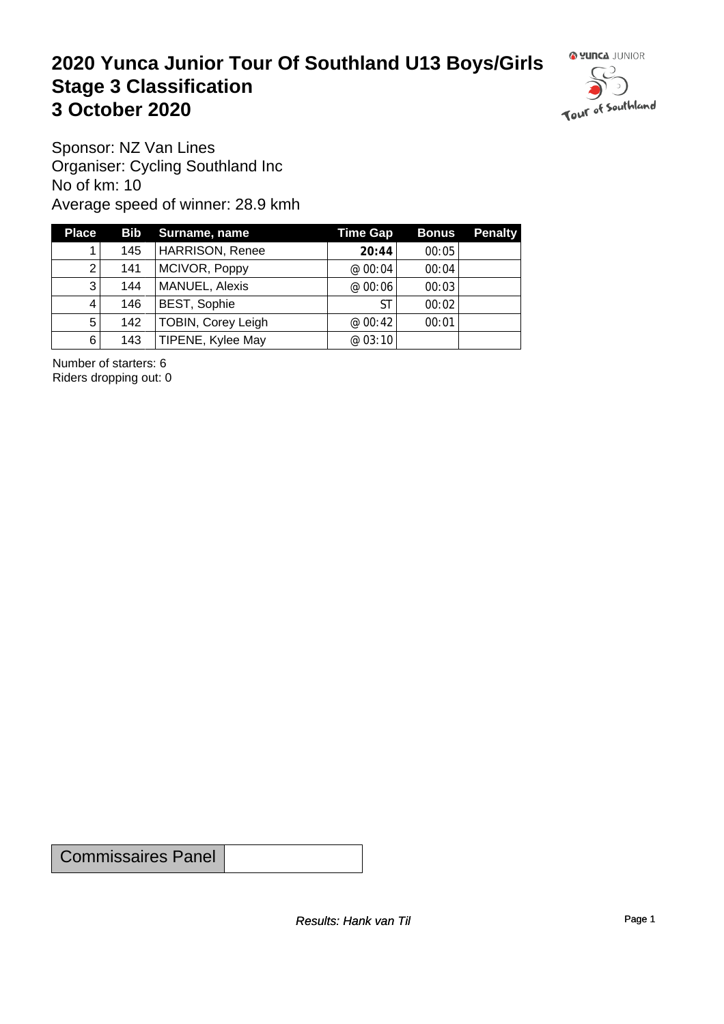#### **2020 Yunca Junior Tour Of Southland U13 Boys/Girls** Stage 3 Classification<br>
3 October 2020 **3 October 2020**



Sponsor: NZ Van Lines Organiser: Cycling Southland Inc No of km: 10 Average speed of winner: 28.9 kmh

| <b>Place</b>   |     | <b>Bib</b> Surname, name  | <b>Time Gap</b> | <b>Bonus</b> | <b>Penalty</b> |
|----------------|-----|---------------------------|-----------------|--------------|----------------|
|                | 145 | <b>HARRISON, Renee</b>    | 20:44           | 00:05        |                |
| 2              | 141 | MCIVOR, Poppy             | @ $00:04$       | 00:04        |                |
| 3              | 144 | MANUEL, Alexis            | @ 00:06         | 00:03        |                |
| 4              | 146 | <b>BEST, Sophie</b>       | ST              | 00:02        |                |
| 5 <sup>1</sup> | 142 | <b>TOBIN, Corey Leigh</b> | @00:42          | 00:01        |                |
| $6 \mid$       | 143 | TIPENE, Kylee May         | @ 03:10         |              |                |

Number of starters: 6 Riders dropping out: 0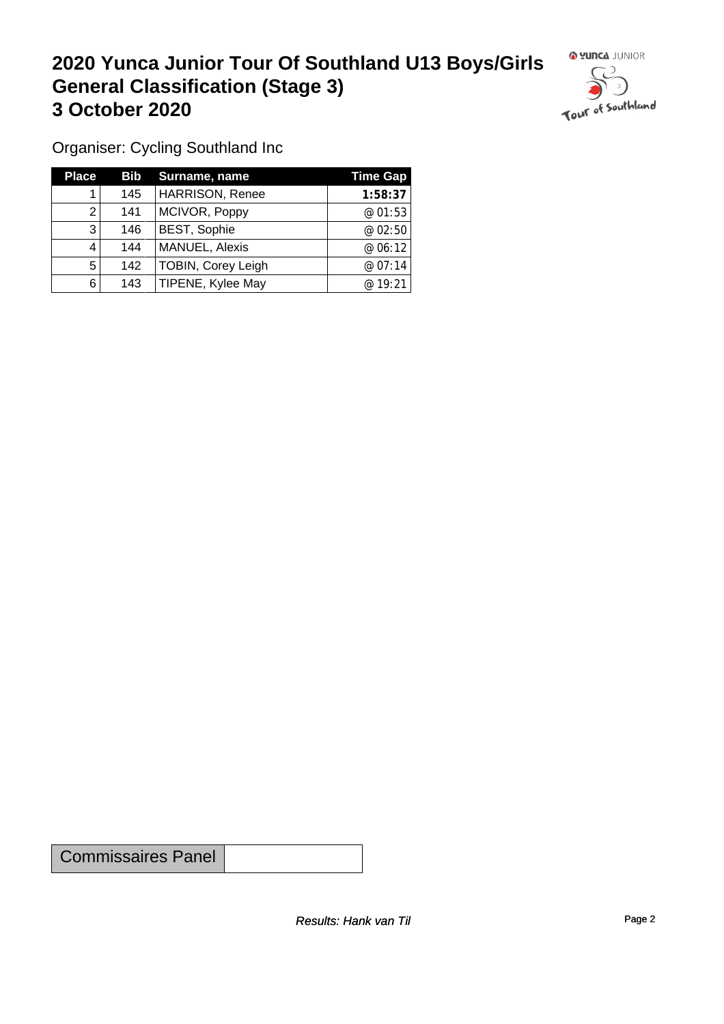## **2020 Yunca Junior Tour Of Southland U13 Boys/Girls General Classification (Stage 3)**<br> **3 October 2020 3 October 2020**



Organiser: Cycling Southland Inc

| <b>Place</b> | <b>Bib</b> | Surname, name             | Time Gap |
|--------------|------------|---------------------------|----------|
|              | 145        | <b>HARRISON, Renee</b>    | 1:58:37  |
| 2            | 141        | MCIVOR, Poppy             | @01:53   |
| 3            | 146        | <b>BEST, Sophie</b>       | @ 02:50  |
| 4            | 144        | MANUEL, Alexis            | @ 06:12  |
| 5            | 142        | <b>TOBIN, Corey Leigh</b> | @07:14   |
| 6            | 143        | TIPENE, Kylee May         | @ 19:21  |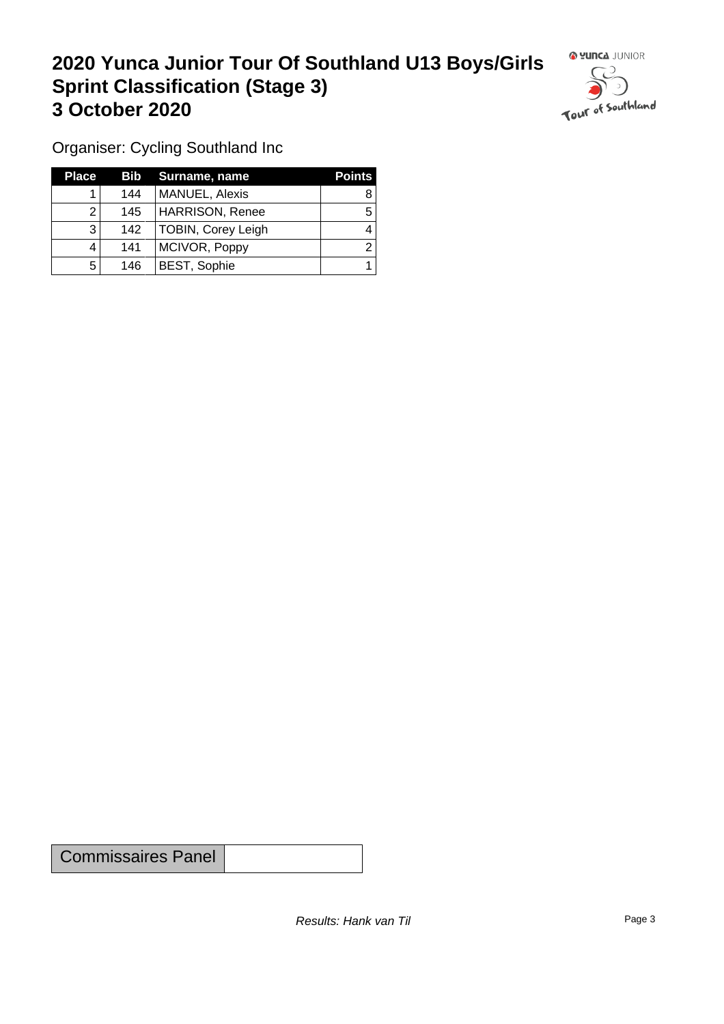### **2020 Yunca Junior Tour Of Southland U13 Boys/Girls Sprint Classification (Stage 3) 3 October 2020 1999 1999 1999 1999 1999 1999 1999 1999 1999 1999 1999 1999 1999 1999 1999 1999 1999 1999 1999 1999 1999 1999 1999 1999 1999 1999 1999 1999 1999 1**



Organiser: Cycling Southland Inc

| <b>Place</b> |     | Bib Surname, name      | <b>Points</b> |
|--------------|-----|------------------------|---------------|
|              | 144 | <b>MANUEL, Alexis</b>  |               |
|              | 145 | <b>HARRISON, Renee</b> |               |
| 3            | 142 | TOBIN, Corey Leigh     |               |
|              | 141 | MCIVOR, Poppy          |               |
| 5            | 146 | <b>BEST, Sophie</b>    |               |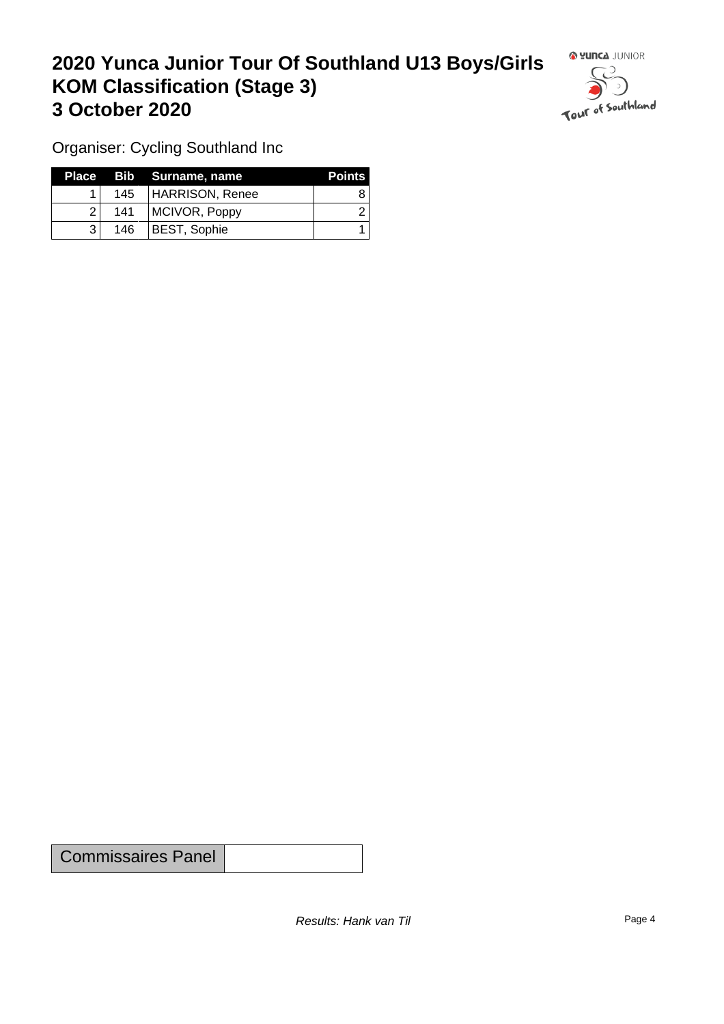### **2020 Yunca Junior Tour Of Southland U13 Boys/Girls KOM Classification (Stage 3) 3 October 2020**



Organiser: Cycling Southland Inc

|                |     | Place Bib Surname, name | <b>Points</b> |
|----------------|-----|-------------------------|---------------|
|                |     | 145   HARRISON, Renee   |               |
| $\overline{2}$ | 141 | MCIVOR, Poppy           |               |
|                | 146 | BEST, Sophie            |               |